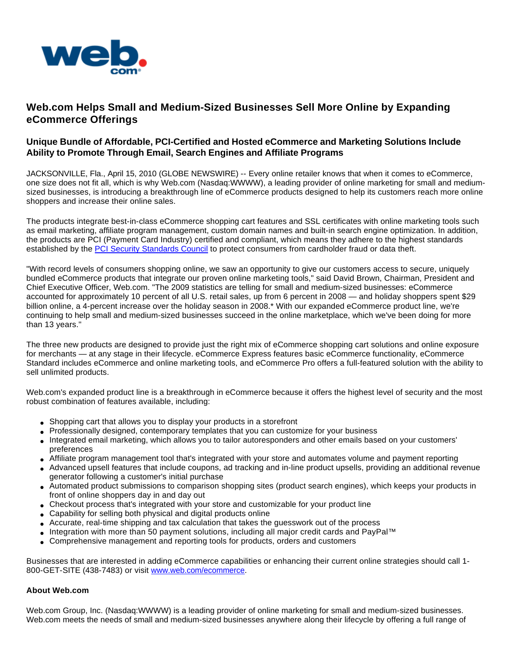

## **Web.com Helps Small and Medium-Sized Businesses Sell More Online by Expanding eCommerce Offerings**

## **Unique Bundle of Affordable, PCI-Certified and Hosted eCommerce and Marketing Solutions Include Ability to Promote Through Email, Search Engines and Affiliate Programs**

JACKSONVILLE, Fla., April 15, 2010 (GLOBE NEWSWIRE) -- Every online retailer knows that when it comes to eCommerce, one size does not fit all, which is why Web.com (Nasdaq:WWWW), a leading provider of online marketing for small and mediumsized businesses, is introducing a breakthrough line of eCommerce products designed to help its customers reach more online shoppers and increase their online sales.

The products integrate best-in-class eCommerce shopping cart features and SSL certificates with online marketing tools such as email marketing, affiliate program management, custom domain names and built-in search engine optimization. In addition, the products are PCI (Payment Card Industry) certified and compliant, which means they adhere to the highest standards established by the [PCI Security Standards Council](http://www.globenewswire.com/newsroom/ctr?d=188517&l=2&a=PCI%20Security%20Standards%20Council&u=https%3A%2F%2Fwww.pcisecuritystandards.org%2Findex.shtml) to protect consumers from cardholder fraud or data theft.

"With record levels of consumers shopping online, we saw an opportunity to give our customers access to secure, uniquely bundled eCommerce products that integrate our proven online marketing tools," said David Brown, Chairman, President and Chief Executive Officer, Web.com. "The 2009 statistics are telling for small and medium-sized businesses: eCommerce accounted for approximately 10 percent of all U.S. retail sales, up from 6 percent in 2008 — and holiday shoppers spent \$29 billion online, a 4-percent increase over the holiday season in 2008.\* With our expanded eCommerce product line, we're continuing to help small and medium-sized businesses succeed in the online marketplace, which we've been doing for more than 13 years."

The three new products are designed to provide just the right mix of eCommerce shopping cart solutions and online exposure for merchants — at any stage in their lifecycle. eCommerce Express features basic eCommerce functionality, eCommerce Standard includes eCommerce and online marketing tools, and eCommerce Pro offers a full-featured solution with the ability to sell unlimited products.

Web.com's expanded product line is a breakthrough in eCommerce because it offers the highest level of security and the most robust combination of features available, including:

- Shopping cart that allows you to display your products in a storefront
- Professionally designed, contemporary templates that you can customize for your business
- Integrated email marketing, which allows you to tailor autoresponders and other emails based on your customers' preferences
- Affiliate program management tool that's integrated with your store and automates volume and payment reporting
- Advanced upsell features that include coupons, ad tracking and in-line product upsells, providing an additional revenue generator following a customer's initial purchase
- Automated product submissions to comparison shopping sites (product search engines), which keeps your products in front of online shoppers day in and day out
- Checkout process that's integrated with your store and customizable for your product line
- Capability for selling both physical and digital products online
- Accurate, real-time shipping and tax calculation that takes the guesswork out of the process
- Integration with more than 50 payment solutions, including all major credit cards and PayPal™
- Comprehensive management and reporting tools for products, orders and customers

Businesses that are interested in adding eCommerce capabilities or enhancing their current online strategies should call 1- 800-GET-SITE (438-7483) or visit [www.web.com/ecommerce.](http://www.web.com/ecommerce)

## **About Web.com**

Web.com Group, Inc. (Nasdaq:WWWW) is a leading provider of online marketing for small and medium-sized businesses. Web.com meets the needs of small and medium-sized businesses anywhere along their lifecycle by offering a full range of